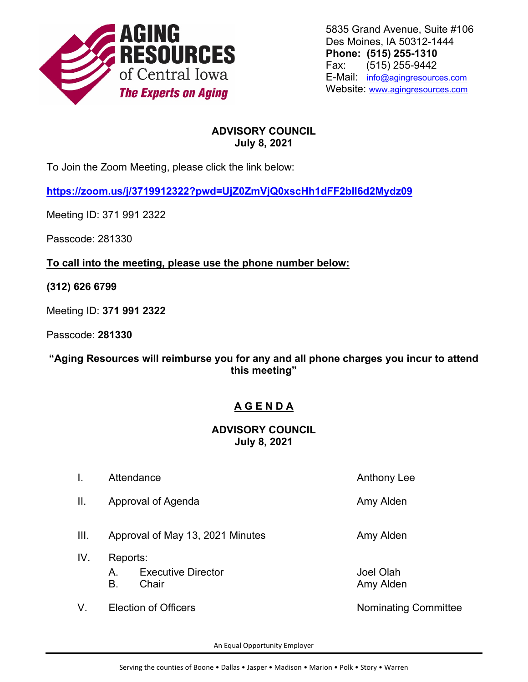

5835 Grand Avenue, Suite #106 Des Moines, IA 50312-1444 **Phone: (515) 255-1310** Fax: (515) 255-9442 E-Mail: [info@agingresources.com](mailto:info@agingresources.com)  Website: [www.agingresources.com](http://www.agingresources.com/)

## **ADVISORY COUNCIL July 8, 2021**

To Join the Zoom Meeting, please click the link below:

**<https://zoom.us/j/3719912322?pwd=UjZ0ZmVjQ0xscHh1dFF2bll6d2Mydz09>**

Meeting ID: 371 991 2322

Passcode: 281330

**To call into the meeting, please use the phone number below:**

**(312) 626 6799**

Meeting ID: **371 991 2322**

Passcode: **281330**

**"Aging Resources will reimburse you for any and all phone charges you incur to attend this meeting"**

## **A G E N D A**

## **ADVISORY COUNCIL July 8, 2021**

I. Attendance Anthony Lee II. Approval of Agenda **Amy Alden** Amy Alden III. Approval of May 13, 2021 Minutes Amy Alden IV. Reports: A. Executive Director **A.** San Alberta Director **A.** Shake Diah B. Chair **Chair B.** Chair **Amy Alden** V. Election of Officers Nominating Committee

An Equal Opportunity Employer